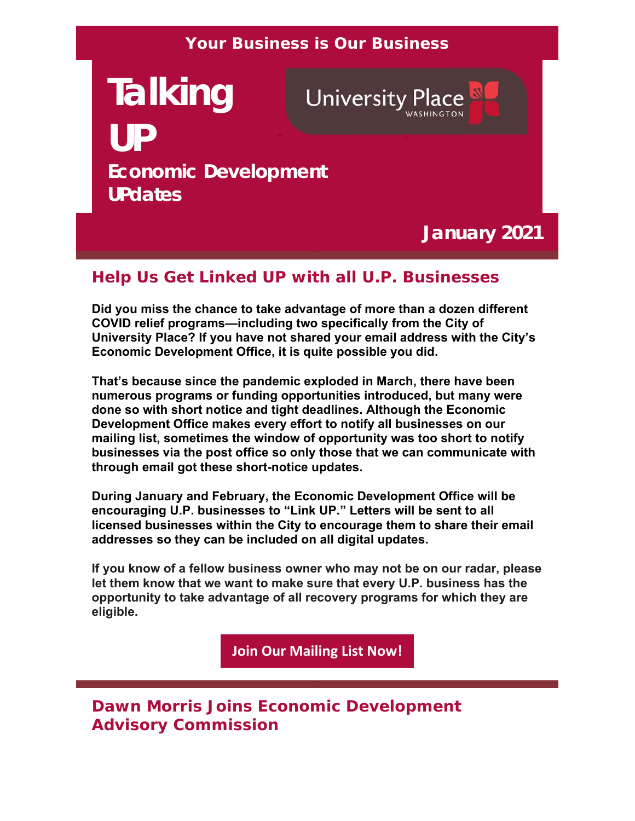### **Your Business is Our Business**

# **Talking University Place UP Economic Development UPdates**

## **January 2021**

### **Help Us Get Linked UP with all U.P. Businesses**

**Did you miss the chance to take advantage of more than a dozen different COVID relief programs—including two specifically from the City of University Place? If you have not shared your email address with the City's Economic Development Office, it is quite possible you did.**

**That's because since the pandemic exploded in March, there have been numerous programs or funding opportunities introduced, but many were done so with short notice and tight deadlines. Although the Economic Development Office makes every effort to notify all businesses on our mailing list, sometimes the window of opportunity was too short to notify businesses via the post office so only those that we can communicate with through email got these short-notice updates.** 

**During January and February, the Economic Development Office will be encouraging U.P. businesses to "Link UP." Letters will be sent to all licensed businesses within the City to encourage them to share their email addresses so they can be included on all digital updates.** 

**If you know of a fellow business owner who may not be on our radar, please let them know that we want to make sure that every U.P. business has the opportunity to take advantage of all recovery programs for which they are eligible.** 

**Join Our Mailing List Now!**

**Dawn Morris Joins Economic Development Advisory Commission**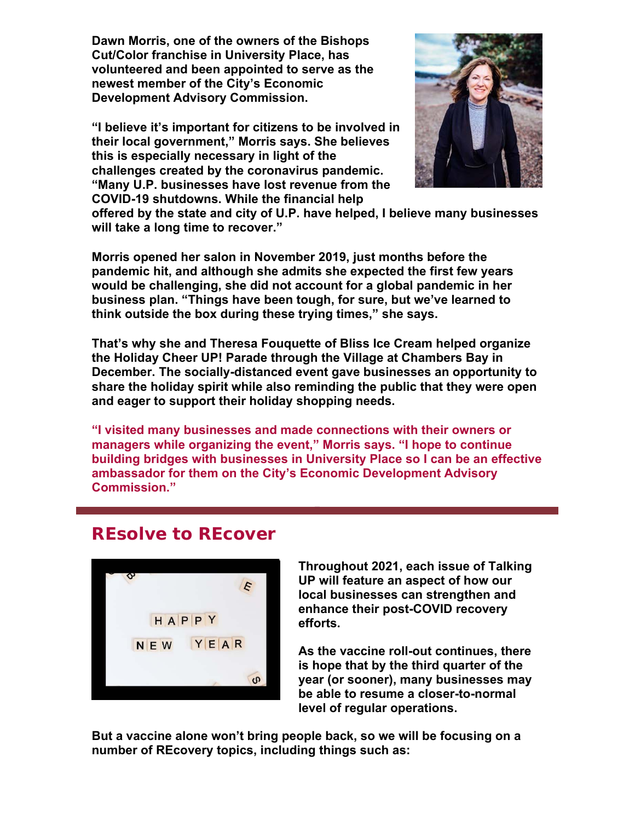**Dawn Morris, one of the owners of the Bishops Cut/Color franchise in University Place, has volunteered and been appointed to serve as the newest member of the City's Economic Development Advisory Commission.** 

**"I believe it's important for citizens to be involved in their local government," Morris says. She believes this is especially necessary in light of the challenges created by the coronavirus pandemic. "Many U.P. businesses have lost revenue from the COVID-19 shutdowns. While the financial help** 



**offered by the state and city of U.P. have helped, I believe many businesses will take a long time to recover."** 

**Morris opened her salon in November 2019, just months before the pandemic hit, and although she admits she expected the first few years would be challenging, she did not account for a global pandemic in her business plan. "Things have been tough, for sure, but we've learned to think outside the box during these trying times," she says.**

**That's why she and Theresa Fouquette of Bliss Ice Cream helped organize the Holiday Cheer UP! Parade through the Village at Chambers Bay in December. The socially-distanced event gave businesses an opportunity to share the holiday spirit while also reminding the public that they were open and eager to support their holiday shopping needs.**

**"I visited many businesses and made connections with their owners or managers while organizing the event," Morris says. "I hope to continue building bridges with businesses in University Place so I can be an effective ambassador for them on the City's Economic Development Advisory Commission."** 

## **REsolve to REcover**



**Throughout 2021, each issue of Talking UP will feature an aspect of how our local businesses can strengthen and enhance their post-COVID recovery efforts.** 

**As the vaccine roll-out continues, there is hope that by the third quarter of the year (or sooner), many businesses may be able to resume a closer-to-normal level of regular operations.** 

**But a vaccine alone won't bring people back, so we will be focusing on a number of REcovery topics, including things such as:**